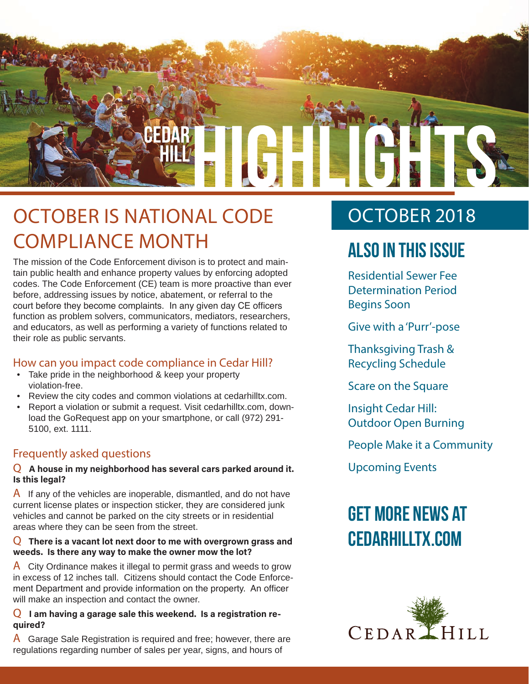

### OCTOBER IS NATIONAL CODE COMPLIANCE MONTH

The mission of the Code Enforcement divison is to protect and maintain public health and enhance property values by enforcing adopted codes. The Code Enforcement (CE) team is more proactive than ever before, addressing issues by notice, abatement, or referral to the court before they become complaints. In any given day CE officers function as problem solvers, communicators, mediators, researchers, and educators, as well as performing a variety of functions related to their role as public servants.

#### How can you impact code compliance in Cedar Hill?

- Take pride in the neighborhood & keep your property violation-free.
- Review the city codes and common violations at cedarhilltx.com.
- Report a violation or submit a request. Visit cedarhilltx.com, download the GoRequest app on your smartphone, or call (972) 291- 5100, ext. 1111.

#### Frequently asked questions

#### Q **A house in my neighborhood has several cars parked around it. Is this legal?**

 $\overline{A}$  If any of the vehicles are inoperable, dismantled, and do not have current license plates or inspection sticker, they are considered junk vehicles and cannot be parked on the city streets or in residential areas where they can be seen from the street.

#### Q **There is a vacant lot next door to me with overgrown grass and weeds. Is there any way to make the owner mow the lot?**

A City Ordinance makes it illegal to permit grass and weeds to grow in excess of 12 inches tall. Citizens should contact the Code Enforcement Department and provide information on the property. An officer will make an inspection and contact the owner.

#### Q **I am having a garage sale this weekend. Is a registration required?**

A Garage Sale Registration is required and free; however, there are regulations regarding number of sales per year, signs, and hours of

### OCTOBER 2018

### **Also In this Issue**

Residential Sewer Fee Determination Period Begins Soon

Give with a 'Purr'-pose

Thanksgiving Trash & Recycling Schedule

Scare on the Square

Insight Cedar Hill: Outdoor Open Burning

People Make it a Community

Upcoming Events

### **Get more news at cedarhilltx.com**

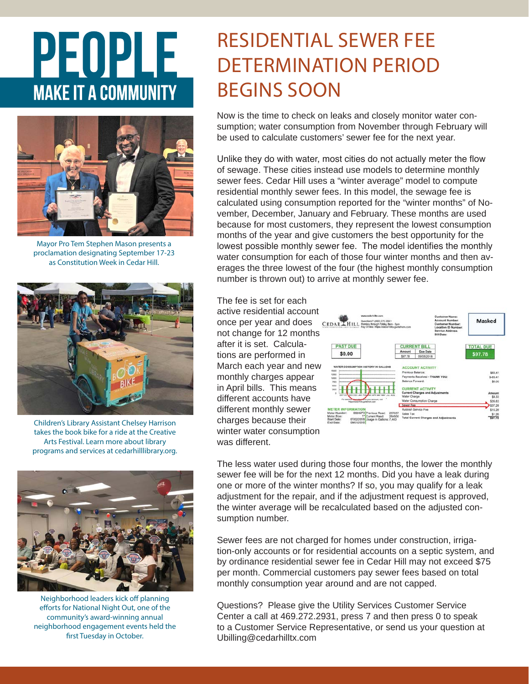# PEOPLE **MAKE IT A COMMUNITY**



Mayor Pro Tem Stephen Mason presents a proclamation designating September 17-23 as Constitution Week in Cedar Hill.



Children's Library Assistant Chelsey Harrison takes the book bike for a ride at the Creative Arts Festival. Learn more about library programs and services at cedarhilllibrary.org.



Neighborhood leaders kick off planning efforts for National Night Out, one of the community's award-winning annual neighborhood engagement events held the first Tuesday in October.

### RESIDENTIAL SEWER FEE DETERMINATION PERIOD BEGINS SOON

Now is the time to check on leaks and closely monitor water consumption; water consumption from November through February will be used to calculate customers' sewer fee for the next year.

Unlike they do with water, most cities do not actually meter the flow of sewage. These cities instead use models to determine monthly sewer fees. Cedar Hill uses a "winter average" model to compute residential monthly sewer fees. In this model, the sewage fee is calculated using consumption reported for the "winter months" of November, December, January and February. These months are used because for most customers, they represent the lowest consumption months of the year and give customers the best opportunity for the lowest possible monthly sewer fee. The model identifies the monthly water consumption for each of those four winter months and then averages the three lowest of the four (the highest monthly consumption number is thrown out) to arrive at monthly sewer fee.

The fee is set for each active residential account once per year and does not change for 12 months after it is set. Calculations are performed in March each year and new monthly charges appear in April bills. This means different accounts have different monthly sewer charges because their winter water consumption was different.



The less water used during those four months, the lower the monthly sewer fee will be for the next 12 months. Did you have a leak during one or more of the winter months? If so, you may qualify for a leak adjustment for the repair, and if the adjustment request is approved, the winter average will be recalculated based on the adjusted consumption number.

Sewer fees are not charged for homes under construction, irrigation-only accounts or for residential accounts on a septic system, and by ordinance residential sewer fee in Cedar Hill may not exceed \$75 per month. Commercial customers pay sewer fees based on total monthly consumption year around and are not capped.

Questions? Please give the Utility Services Customer Service Center a call at 469.272.2931, press 7 and then press 0 to speak to a Customer Service Representative, or send us your question at Ubilling@cedarhilltx.com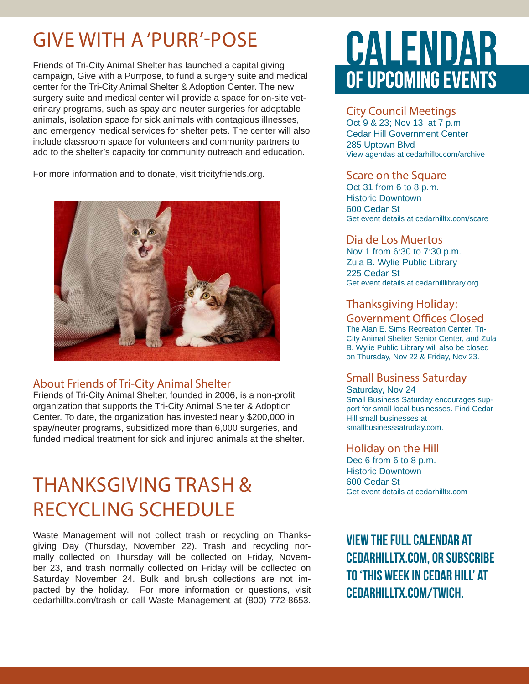### GIVE WITH A 'PURR'-POSE

Friends of Tri-City Animal Shelter has launched a capital giving campaign, Give with a Purrpose, to fund a surgery suite and medical center for the Tri-City Animal Shelter & Adoption Center. The new surgery suite and medical center will provide a space for on-site veterinary programs, such as spay and neuter surgeries for adoptable animals, isolation space for sick animals with contagious illnesses, and emergency medical services for shelter pets. The center will also include classroom space for volunteers and community partners to add to the shelter's capacity for community outreach and education.

For more information and to donate, visit tricityfriends.org.



#### About Friends of Tri-City Animal Shelter

Friends of Tri-City Animal Shelter, founded in 2006, is a non-profit organization that supports the Tri-City Animal Shelter & Adoption Center. To date, the organization has invested nearly \$200,000 in spay/neuter programs, subsidized more than 6,000 surgeries, and funded medical treatment for sick and injured animals at the shelter.

### THANKSGIVING TRASH & RECYCLING SCHEDULE

Waste Management will not collect trash or recycling on Thanksgiving Day (Thursday, November 22). Trash and recycling normally collected on Thursday will be collected on Friday, November 23, and trash normally collected on Friday will be collected on Saturday November 24. Bulk and brush collections are not impacted by the holiday. For more information or questions, visit cedarhilltx.com/trash or call Waste Management at (800) 772-8653.

## CALENDAR OF UPCOMING EVENTS

#### City Council Meetings

Oct 9 & 23; Nov 13 at 7 p.m. Cedar Hill Government Center 285 Uptown Blvd View agendas at cedarhilltx.com/archive

#### Scare on the Square

Oct 31 from 6 to 8 p.m. Historic Downtown 600 Cedar St Get event details at cedarhilltx.com/scare

#### Dia de Los Muertos

Nov 1 from 6:30 to 7:30 p.m. Zula B. Wylie Public Library 225 Cedar St Get event details at cedarhilllibrary.org

#### Thanksgiving Holiday:

#### Government Offices Closed

The Alan E. Sims Recreation Center, Tri-City Animal Shelter Senior Center, and Zula B. Wylie Public Library will also be closed on Thursday, Nov 22 & Friday, Nov 23.

#### Small Business Saturday

Saturday, Nov 24 Small Business Saturday encourages support for small local businesses. Find Cedar Hill small businesses at smallbusinesssatruday.com.

#### Holiday on the Hill

Dec 6 from 6 to 8 p.m. Historic Downtown 600 Cedar St Get event details at cedarhilltx.com

**View the full calendar at cedarhilltx.com, or subscribe to 'This Week in Cedar Hill' at cedarhilltx.com/twich.**